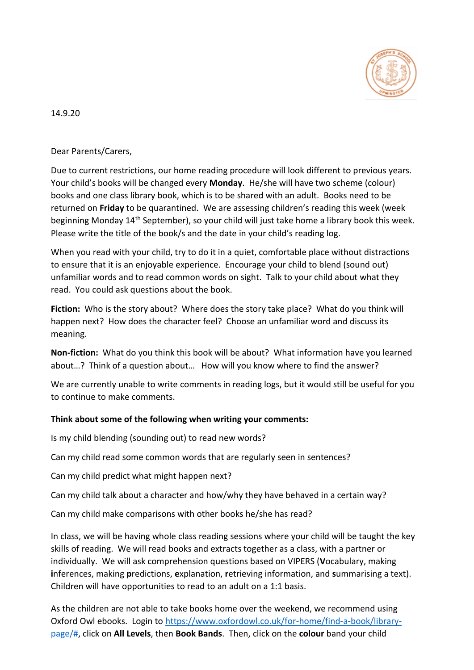

14.9.20

Dear Parents/Carers,

Due to current restrictions, our home reading procedure will look different to previous years. Your child's books will be changed every **Monday**. He/she will have two scheme (colour) books and one class library book, which is to be shared with an adult. Books need to be returned on **Friday** to be quarantined. We are assessing children's reading this week (week beginning Monday 14<sup>th</sup> September), so your child will just take home a library book this week. Please write the title of the book/s and the date in your child's reading log.

When you read with your child, try to do it in a quiet, comfortable place without distractions to ensure that it is an enjoyable experience. Encourage your child to blend (sound out) unfamiliar words and to read common words on sight. Talk to your child about what they read. You could ask questions about the book.

**Fiction:** Who is the story about? Where does the story take place? What do you think will happen next? How does the character feel? Choose an unfamiliar word and discuss its meaning.

**Non-fiction:** What do you think this book will be about? What information have you learned about…? Think of a question about… How will you know where to find the answer?

We are currently unable to write comments in reading logs, but it would still be useful for you to continue to make comments.

## **Think about some of the following when writing your comments:**

Is my child blending (sounding out) to read new words?

Can my child read some common words that are regularly seen in sentences?

Can my child predict what might happen next?

Can my child talk about a character and how/why they have behaved in a certain way?

Can my child make comparisons with other books he/she has read?

In class, we will be having whole class reading sessions where your child will be taught the key skills of reading. We will read books and extracts together as a class, with a partner or individually. We will ask comprehension questions based on VIPERS (**V**ocabulary, making **i**nferences, making **p**redictions, **e**xplanation, **r**etrieving information, and **s**ummarising a text). Children will have opportunities to read to an adult on a 1:1 basis.

As the children are not able to take books home over the weekend, we recommend using Oxford Owl ebooks. Login to [https://www.oxfordowl.co.uk/for-home/find-a-book/library](https://www.oxfordowl.co.uk/for-home/find-a-book/library-page/)[page/#,](https://www.oxfordowl.co.uk/for-home/find-a-book/library-page/) click on **All Levels**, then **Book Bands**. Then, click on the **colour** band your child